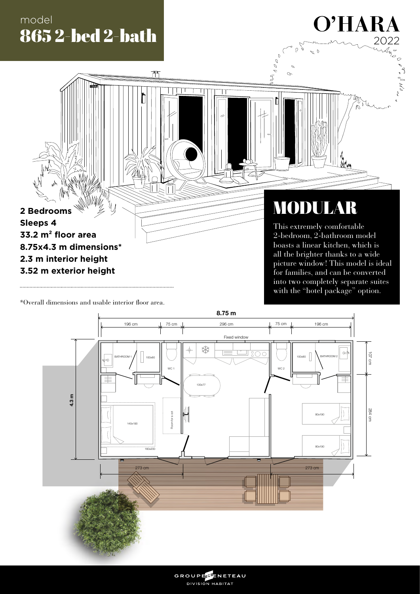# model 865 2-bed 2-bath

严

 $\overline{\mathbb{T}}$ 

# O'HARA  $2022$

 $\int_{\mathcal{A}} \int_{\mathcal{A}} \int_{\mathcal{A}} \mathcal{A} \mathcal{A}$ 

MODULAR

 $\sigma$ 

Average

This extremely comfortable 2-bedroom, 2-bathroom model boasts a linear kitchen, which is all the brighter thanks to a wide picture window! This model is ideal for families, and can be converted into two completely separate suites with the "hotel package" option.

\*Overall dimensions and usable interior floor area.

**2 Bedrooms**

**33.2 m² floor area**

**8.75x4.3 m dimensions\***

**2.3 m interior height 3.52 m exterior height**

**Sleeps 4**



GROUPEERNETEAU DIVISION HABITAT